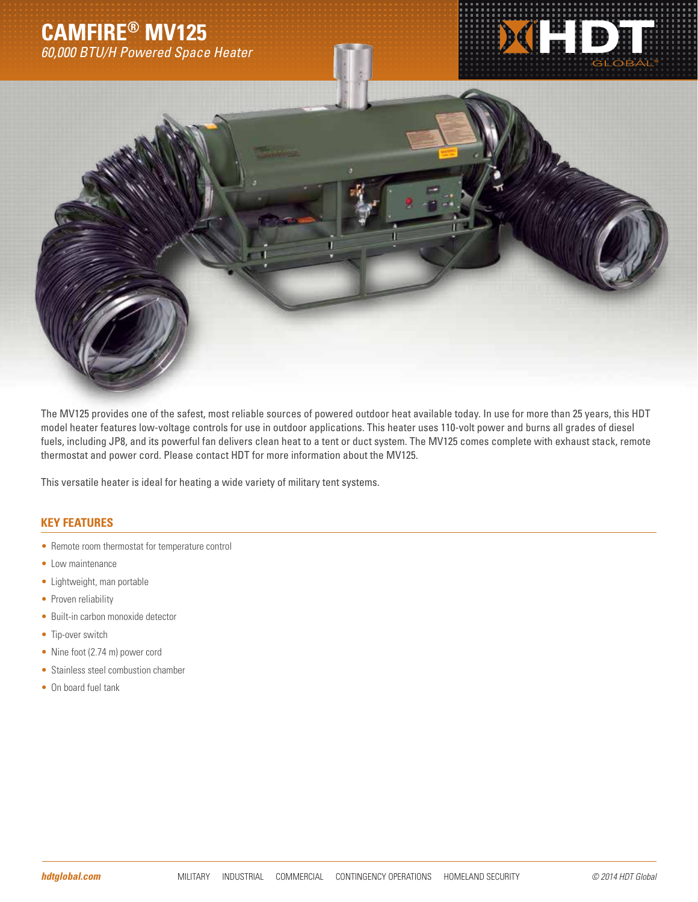## **Camfire® MV125**

*60,000 BTU/H Powered Space Heater*



The MV125 provides one of the safest, most reliable sources of powered outdoor heat available today. In use for more than 25 years, this HDT model heater features low-voltage controls for use in outdoor applications. This heater uses 110-volt power and burns all grades of diesel fuels, including JP8, and its powerful fan delivers clean heat to a tent or duct system. The MV125 comes complete with exhaust stack, remote thermostat and power cord. Please contact HDT for more information about the MV125.

This versatile heater is ideal for heating a wide variety of military tent systems.

## **Key Features**

- Remote room thermostat for temperature control
- Low maintenance
- Lightweight, man portable
- Proven reliability
- Built-in carbon monoxide detector
- Tip-over switch
- Nine foot (2.74 m) power cord
- Stainless steel combustion chamber
- On board fuel tank

XHDH